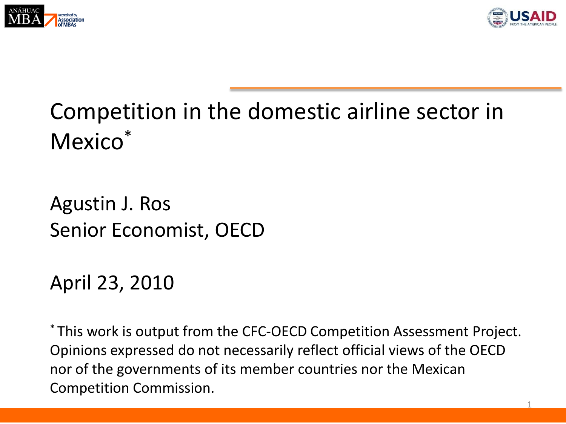



#### Competition in the domestic airline sector in Mexico\*

#### Agustin J. Ros Senior Economist, OECD

#### April 23, 2010

\* This work is output from the CFC-OECD Competition Assessment Project. Opinions expressed do not necessarily reflect official views of the OECD nor of the governments of its member countries nor the Mexican Competition Commission.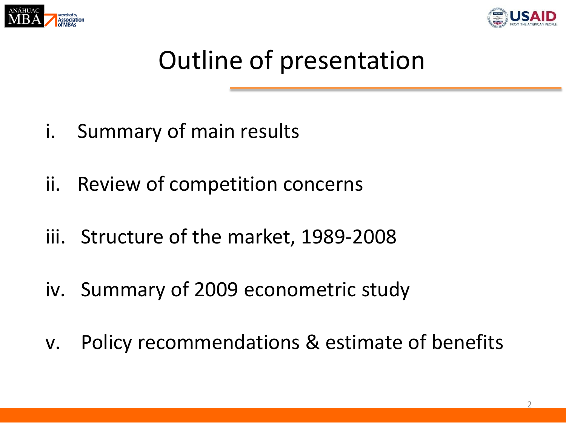



## Outline of presentation

- i. Summary of main results
- ii. Review of competition concerns
- iii. Structure of the market, 1989-2008
- iv. Summary of 2009 econometric study
- v. Policy recommendations & estimate of benefits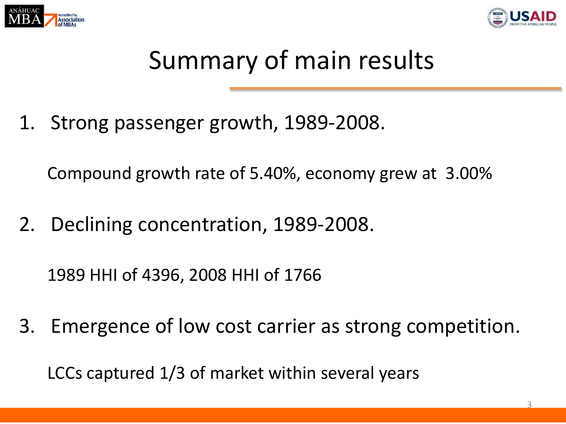



## Summary of main results

1. Strong passenger growth, 1989-2008.

Compound growth rate of 5.40%, economy grew at 3.00%

2. Declining concentration, 1989-2008.

1989 HHI of 4396, 2008 HHI of 1766

3. Emergence of low cost carrier as strong competition.

LCCs captured 1/3 of market within several years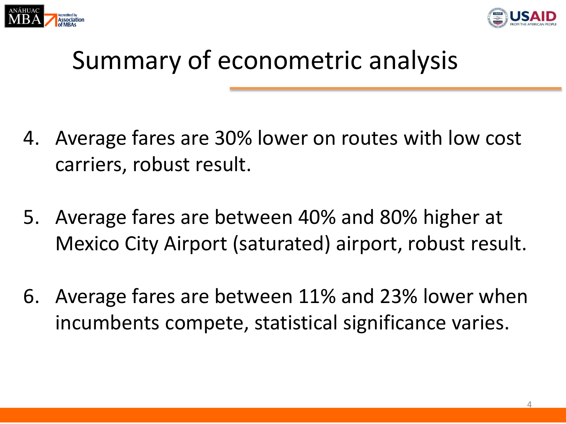



## Summary of econometric analysis

- 4. Average fares are 30% lower on routes with low cost carriers, robust result.
- 5. Average fares are between 40% and 80% higher at Mexico City Airport (saturated) airport, robust result.
- 6. Average fares are between 11% and 23% lower when incumbents compete, statistical significance varies.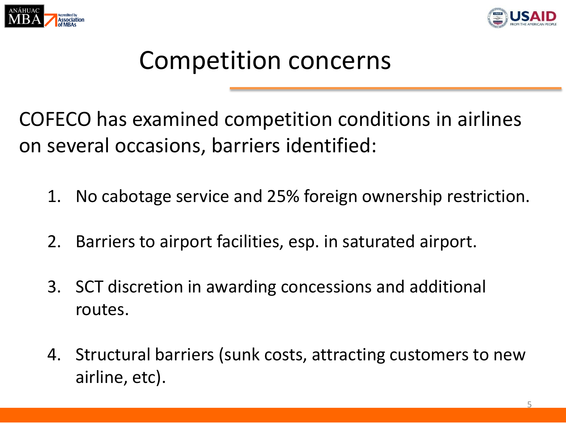



#### Competition concerns

COFECO has examined competition conditions in airlines on several occasions, barriers identified:

- 1. No cabotage service and 25% foreign ownership restriction.
- 2. Barriers to airport facilities, esp. in saturated airport.
- 3. SCT discretion in awarding concessions and additional routes.
- 4. Structural barriers (sunk costs, attracting customers to new airline, etc).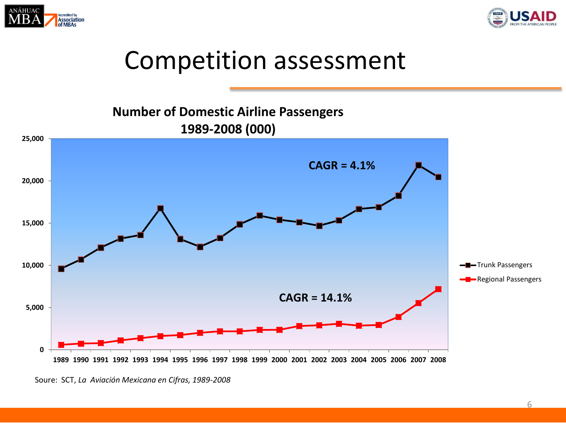







Soure: SCT, *La Aviación Mexicana en Cifras, 1989-2008*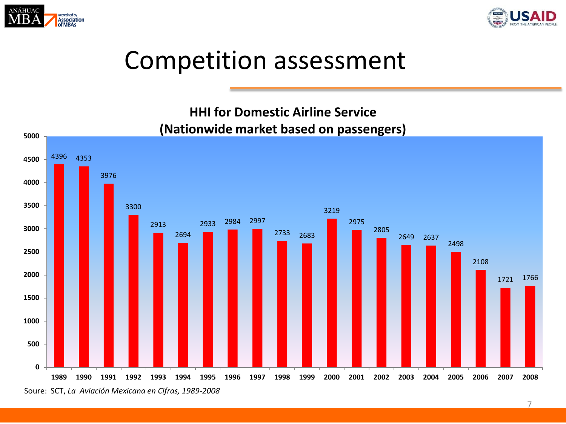



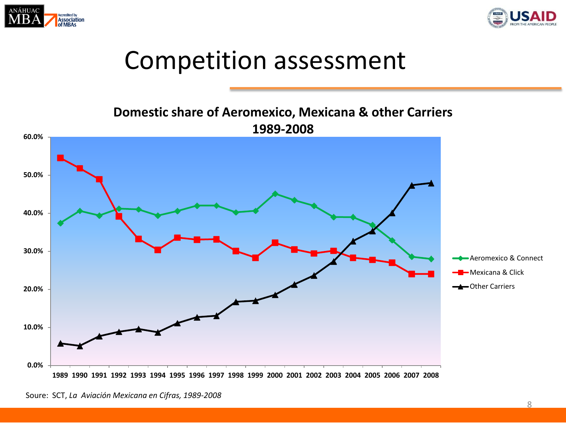



**Domestic share of Aeromexico, Mexicana & other Carriers 1989-2008**



#### Soure: SCT, *La Aviación Mexicana en Cifras, 1989-2008*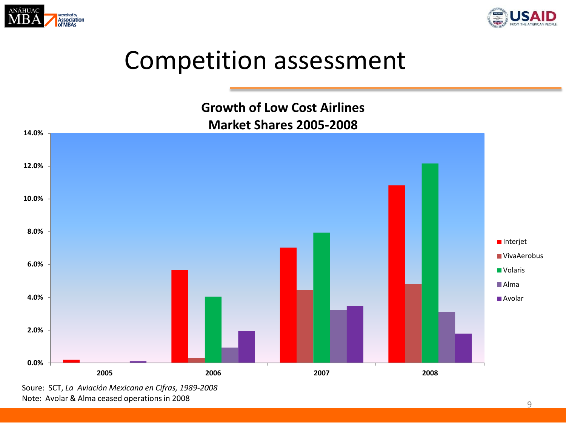





Soure: SCT, *La Aviación Mexicana en Cifras, 1989-2008*  Note: Avolar & Alma ceased operations in 2008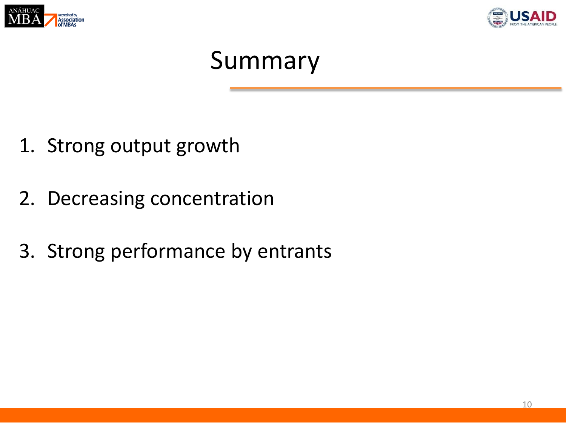



#### Summary

- 1. Strong output growth
- 2. Decreasing concentration
- 3. Strong performance by entrants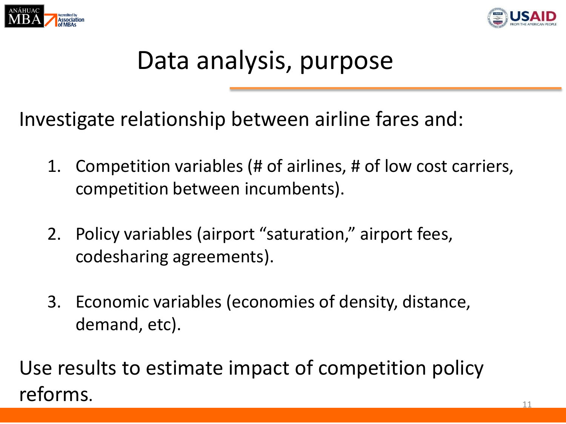



### Data analysis, purpose

Investigate relationship between airline fares and:

- 1. Competition variables (# of airlines, # of low cost carriers, competition between incumbents).
- 2. Policy variables (airport "saturation," airport fees, codesharing agreements).
- 3. Economic variables (economies of density, distance, demand, etc).

Use results to estimate impact of competition policy reforms.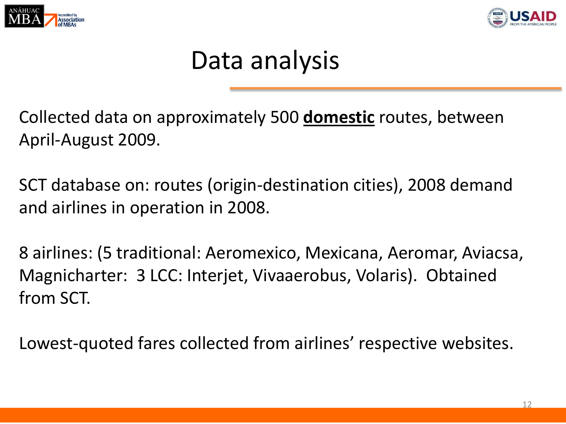



#### Data analysis

Collected data on approximately 500 **domestic** routes, between April-August 2009.

SCT database on: routes (origin-destination cities), 2008 demand and airlines in operation in 2008.

8 airlines: (5 traditional: Aeromexico, Mexicana, Aeromar, Aviacsa, Magnicharter: 3 LCC: Interjet, Vivaaerobus, Volaris). Obtained from SCT.

Lowest-quoted fares collected from airlines' respective websites.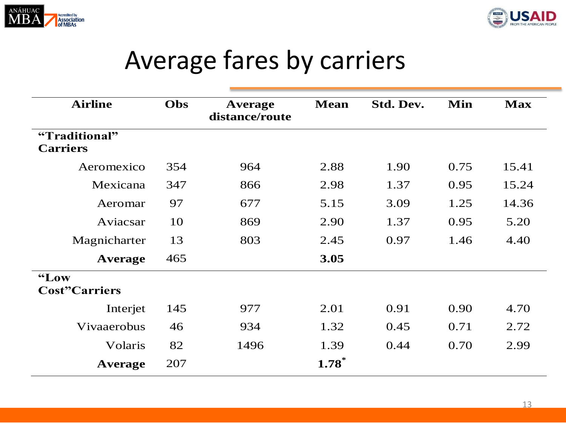



## Average fares by carriers

| <b>Airline</b>                   | Obs | Average        | <b>Mean</b> | Std. Dev. | Min  | <b>Max</b> |
|----------------------------------|-----|----------------|-------------|-----------|------|------------|
|                                  |     | distance/route |             |           |      |            |
| "Traditional"<br><b>Carriers</b> |     |                |             |           |      |            |
| Aeromexico                       | 354 | 964            | 2.88        | 1.90      | 0.75 | 15.41      |
| Mexicana                         | 347 | 866            | 2.98        | 1.37      | 0.95 | 15.24      |
| Aeromar                          | 97  | 677            | 5.15        | 3.09      | 1.25 | 14.36      |
| Aviacsar                         | 10  | 869            | 2.90        | 1.37      | 0.95 | 5.20       |
| Magnicharter                     | 13  | 803            | 2.45        | 0.97      | 1.46 | 4.40       |
| Average                          | 465 |                | 3.05        |           |      |            |
| "Low<br><b>Cost</b> "Carriers    |     |                |             |           |      |            |
| Interjet                         | 145 | 977            | 2.01        | 0.91      | 0.90 | 4.70       |
| Vivaaerobus                      | 46  | 934            | 1.32        | 0.45      | 0.71 | 2.72       |
| Volaris                          | 82  | 1496           | 1.39        | 0.44      | 0.70 | 2.99       |
| Average                          | 207 |                | $1.78^*$    |           |      |            |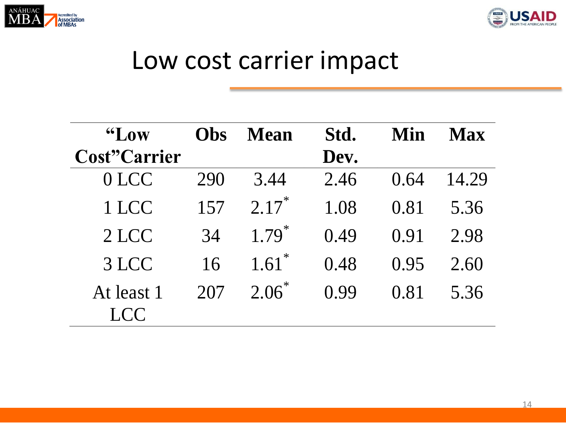



#### Low cost carrier impact

| $\mathbf{G}$ $\mathbf{L}$ $\mathbf{O}$ $\mathbf{W}$ | <b>Obs</b> | <b>Mean</b>         | Std. | Min  | <b>Max</b> |
|-----------------------------------------------------|------------|---------------------|------|------|------------|
| Cost"Carrier                                        |            |                     | Dev. |      |            |
| 0 LCC                                               | 290        | 3.44                | 2.46 | 0.64 | 14.29      |
| 1 LCC                                               | 157        | $2.17*$             | 1.08 | 0.81 | 5.36       |
| 2 LCC                                               | 34         | $1.79*$             | 0.49 | 0.91 | 2.98       |
| 3 LCC                                               | 16         | $1.61$ <sup>*</sup> | 0.48 | 0.95 | 2.60       |
| At least 1<br>$\Gamma$                              | 207        | $2.06*$             | 0.99 | 0.81 | 5.36       |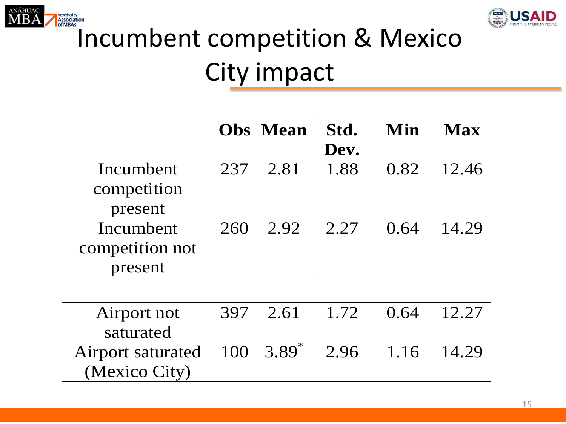



# IASSOCiation<br>Incumbent competition & Mexico City impact

|                                         |     | <b>Obs</b> Mean | Std.<br>Dev. | Min  | <b>Max</b> |
|-----------------------------------------|-----|-----------------|--------------|------|------------|
| Incumbent<br>competition<br>present     | 237 | 2.81            | 1.88         | 0.82 | 12.46      |
| Incumbent<br>competition not<br>present | 260 | 2.92            | 2.27         | 0.64 | 14.29      |
|                                         |     |                 |              |      |            |
| Airport not<br>saturated                | 397 | 2.61            | 1.72         | 0.64 | 12.27      |
| Airport saturated<br>(Mexico City)      | 100 | $3.89*$         | 2.96         | 1.16 | 14.29      |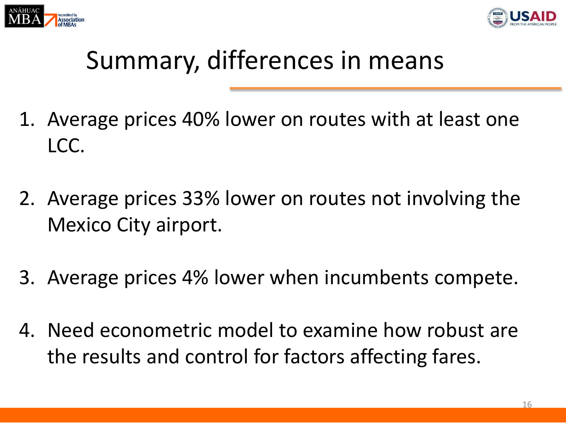



## Summary, differences in means

- 1. Average prices 40% lower on routes with at least one LCC.
- 2. Average prices 33% lower on routes not involving the Mexico City airport.
- 3. Average prices 4% lower when incumbents compete.
- 4. Need econometric model to examine how robust are the results and control for factors affecting fares.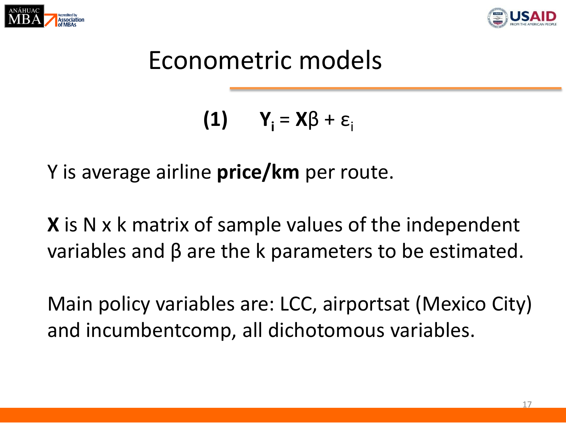



$$
(1) \qquad Y_i = X\beta + \varepsilon_i
$$

Y is average airline **price/km** per route.

**X** is N x k matrix of sample values of the independent variables and β are the k parameters to be estimated.

Main policy variables are: LCC, airportsat (Mexico City) and incumbentcomp, all dichotomous variables.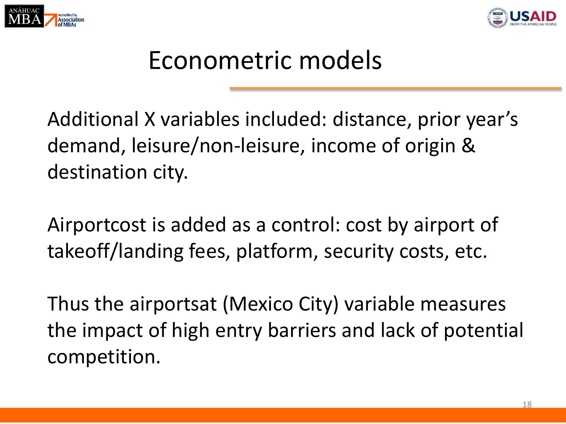



Additional X variables included: distance, prior year's demand, leisure/non-leisure, income of origin & destination city.

Airportcost is added as a control: cost by airport of takeoff/landing fees, platform, security costs, etc.

Thus the airportsat (Mexico City) variable measures the impact of high entry barriers and lack of potential competition.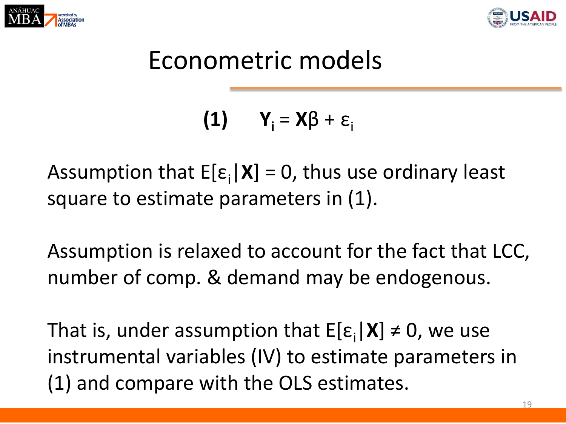



$$
(1) \qquad Y_i = X\beta + \varepsilon_i
$$

Assumption that  $E[\epsilon_{i} | X] = 0$ , thus use ordinary least square to estimate parameters in (1).

Assumption is relaxed to account for the fact that LCC, number of comp. & demand may be endogenous.

That is, under assumption that  $E[\epsilon_i|\mathbf{X}] \neq 0$ , we use instrumental variables (IV) to estimate parameters in (1) and compare with the OLS estimates.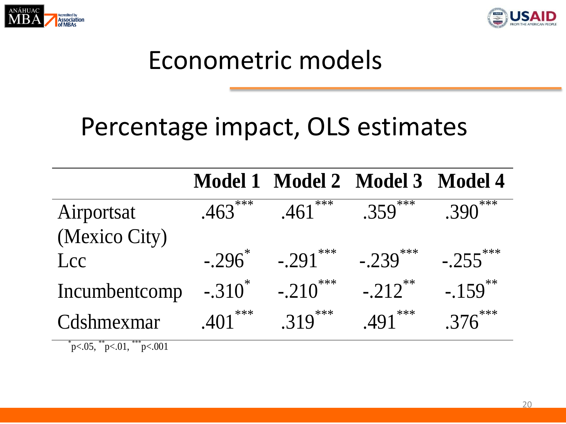



## Percentage impact, OLS estimates

|                                      |           |                      | Model 1 Model 2 Model 3 Model 4 |                    |
|--------------------------------------|-----------|----------------------|---------------------------------|--------------------|
| Airportsat                           | .463      | $.461$ ***           | $.359$ ***                      | ***<br>$.390^{**}$ |
| (Mexico City)                        |           |                      |                                 |                    |
| Lcc                                  |           | $-296^* - 291^{***}$ | $-239$ <sup>***</sup>           | $-.255***$         |
| Incumbent comp $-0.310$ <sup>*</sup> |           | $-210^{***}$         | $-.212$ <sup>**</sup>           | $-159$             |
| Cdshmexmar                           | $.401***$ | $.319***$            | $.491***$                       | $.376***$          |

 $p<.05$ ,  $p<.01$ ,  $p<.001$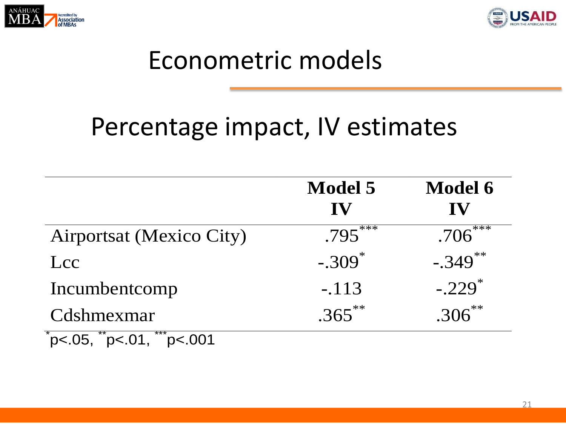



#### Percentage impact, IV estimates

|                                               | <b>Model 5</b><br>IV       | Model 6<br>IV        |
|-----------------------------------------------|----------------------------|----------------------|
| <b>Airportsat (Mexico City)</b>               | ***<br>$.795$ <sup>*</sup> | ***<br>.706          |
| Lcc                                           | $-.309$ <sup>*</sup>       | $-.349**$            |
| Incumbentcomp                                 | $-.113$                    | $-.229$ <sup>*</sup> |
| Cdshmexmar                                    | $.365***$                  | $.306***$            |
| $***$<br>$\sim$ $\blacktriangleleft$<br>C C 4 |                            |                      |

\* p<.05, \*\*p<.01, \*\*\*p<.001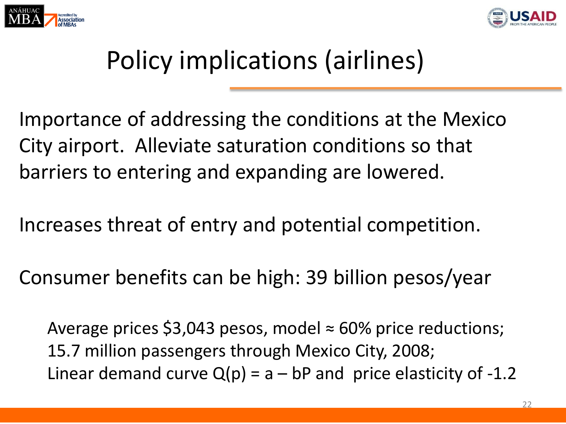



### Policy implications (airlines)

Importance of addressing the conditions at the Mexico City airport. Alleviate saturation conditions so that barriers to entering and expanding are lowered.

Increases threat of entry and potential competition.

Consumer benefits can be high: 39 billion pesos/year

Average prices  $$3,043$  pesos, model  $\approx 60\%$  price reductions; 15.7 million passengers through Mexico City, 2008; Linear demand curve  $Q(p) = a - bP$  and price elasticity of -1.2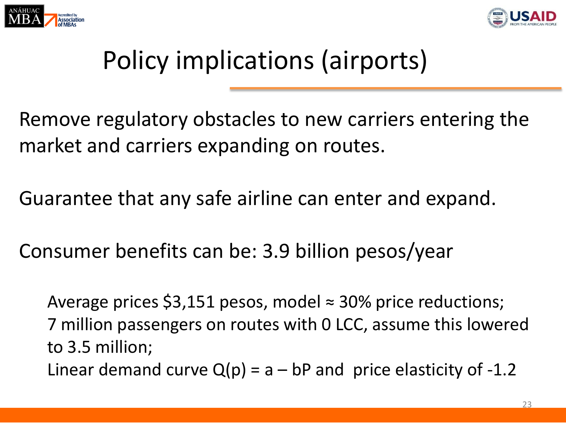



### Policy implications (airports)

Remove regulatory obstacles to new carriers entering the market and carriers expanding on routes.

Guarantee that any safe airline can enter and expand.

Consumer benefits can be: 3.9 billion pesos/year

Average prices  $$3,151$  pesos, model  $\approx 30\%$  price reductions; 7 million passengers on routes with 0 LCC, assume this lowered to 3.5 million;

Linear demand curve  $Q(p) = a - bP$  and price elasticity of -1.2